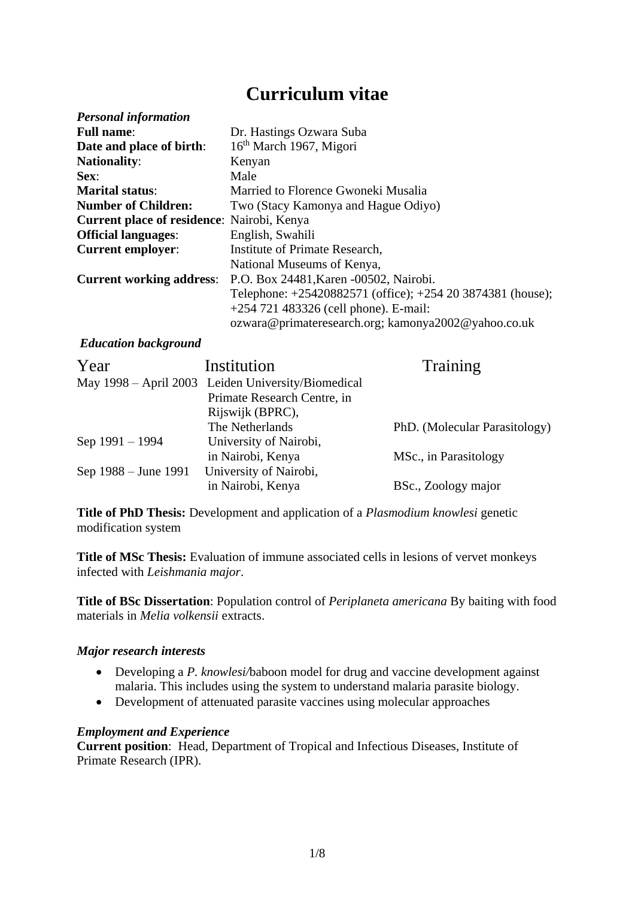# **Curriculum vitae**

| <b>Personal information</b>                |                                                            |
|--------------------------------------------|------------------------------------------------------------|
| <b>Full name:</b>                          | Dr. Hastings Ozwara Suba                                   |
| Date and place of birth:                   | 16 <sup>th</sup> March 1967, Migori                        |
| <b>Nationality:</b>                        | Kenyan                                                     |
| Sex:                                       | Male                                                       |
| <b>Marital status:</b>                     | Married to Florence Gwoneki Musalia                        |
| <b>Number of Children:</b>                 | Two (Stacy Kamonya and Hague Odiyo)                        |
| Current place of residence: Nairobi, Kenya |                                                            |
| <b>Official languages:</b>                 | English, Swahili                                           |
| <b>Current employer:</b>                   | Institute of Primate Research,                             |
|                                            | National Museums of Kenya,                                 |
| <b>Current working address:</b>            | P.O. Box 24481, Karen -00502, Nairobi.                     |
|                                            | Telephone: +25420882571 (office); +254 20 3874381 (house); |
|                                            | $+254$ 721 483326 (cell phone). E-mail:                    |
|                                            | ozwara@primateresearch.org; kamonya2002@yahoo.co.uk        |

## *Education background*

| Year                 | Institution                                        | Training                      |
|----------------------|----------------------------------------------------|-------------------------------|
|                      | May 1998 – April 2003 Leiden University/Biomedical |                               |
|                      | Primate Research Centre, in                        |                               |
|                      | Rijswijk (BPRC),                                   |                               |
|                      | The Netherlands                                    | PhD. (Molecular Parasitology) |
| Sep 1991 – 1994      | University of Nairobi,                             |                               |
|                      | in Nairobi, Kenya                                  | MSc., in Parasitology         |
| Sep 1988 – June 1991 | University of Nairobi,                             |                               |
|                      | in Nairobi, Kenya                                  | BSc., Zoology major           |

**Title of PhD Thesis:** Development and application of a *Plasmodium knowlesi* genetic modification system

**Title of MSc Thesis:** Evaluation of immune associated cells in lesions of vervet monkeys infected with *Leishmania major*.

**Title of BSc Dissertation**: Population control of *Periplaneta americana* By baiting with food materials in *Melia volkensii* extracts.

## *Major research interests*

- Developing a *P. knowlesi/*baboon model for drug and vaccine development against malaria. This includes using the system to understand malaria parasite biology.
- Development of attenuated parasite vaccines using molecular approaches

## *Employment and Experience*

**Current position**: Head, Department of Tropical and Infectious Diseases, Institute of Primate Research (IPR).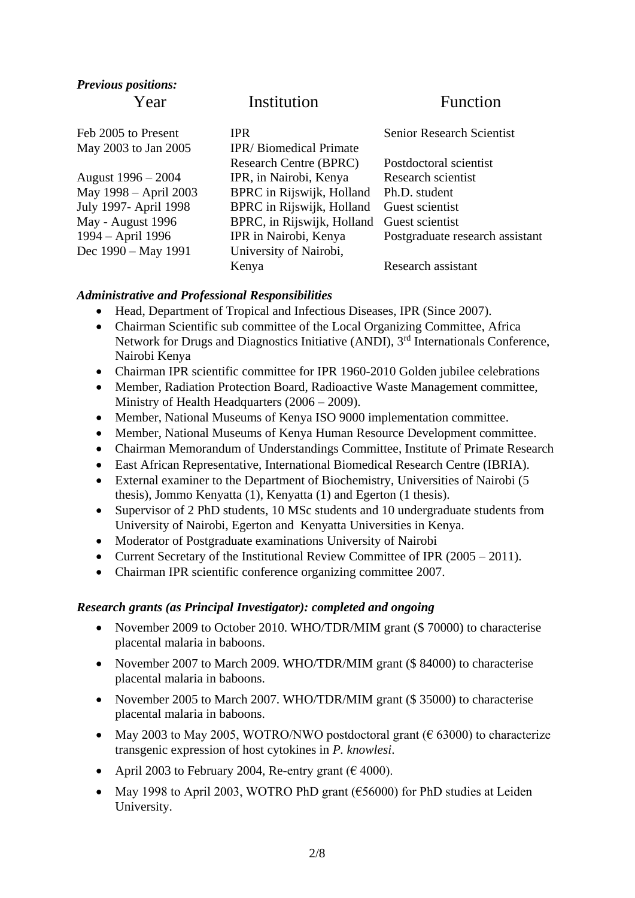| <b>Previous positions:</b> |                               |                                  |
|----------------------------|-------------------------------|----------------------------------|
| Year                       | Institution                   | <b>Function</b>                  |
| Feb 2005 to Present        | <b>IPR</b>                    | <b>Senior Research Scientist</b> |
| May 2003 to Jan 2005       | <b>IPR/Biomedical Primate</b> |                                  |
|                            | <b>Research Centre (BPRC)</b> | Postdoctoral scientist           |
| August 1996 – 2004         | IPR, in Nairobi, Kenya        | Research scientist               |
| May 1998 – April 2003      | BPRC in Rijswijk, Holland     | Ph.D. student                    |
| July 1997- April 1998      | BPRC in Rijswijk, Holland     | Guest scientist                  |
| May - August 1996          | BPRC, in Rijswijk, Holland    | Guest scientist                  |
| 1994 – April 1996          | IPR in Nairobi, Kenya         | Postgraduate research assistant  |
| Dec 1990 – May 1991        | University of Nairobi,        |                                  |
|                            | Kenya                         | Research assistant               |

## *Administrative and Professional Responsibilities*

- Head, Department of Tropical and Infectious Diseases, IPR (Since 2007).
- Chairman Scientific sub committee of the Local Organizing Committee, Africa Network for Drugs and Diagnostics Initiative (ANDI), 3rd Internationals Conference, Nairobi Kenya
- Chairman IPR scientific committee for IPR 1960-2010 Golden jubilee celebrations
- Member, Radiation Protection Board, Radioactive Waste Management committee, Ministry of Health Headquarters (2006 – 2009).
- Member, National Museums of Kenya ISO 9000 implementation committee.
- Member, National Museums of Kenya Human Resource Development committee.
- Chairman Memorandum of Understandings Committee, Institute of Primate Research
- East African Representative, International Biomedical Research Centre (IBRIA).
- External examiner to the Department of Biochemistry, Universities of Nairobi (5 thesis), Jommo Kenyatta (1), Kenyatta (1) and Egerton (1 thesis).
- Supervisor of 2 PhD students, 10 MSc students and 10 undergraduate students from University of Nairobi, Egerton and Kenyatta Universities in Kenya.
- Moderator of Postgraduate examinations University of Nairobi
- Current Secretary of the Institutional Review Committee of IPR (2005 2011).
- Chairman IPR scientific conference organizing committee 2007.

## *Research grants (as Principal Investigator): completed and ongoing*

- November 2009 to October 2010. WHO/TDR/MIM grant (\$70000) to characterise placental malaria in baboons.
- November 2007 to March 2009. WHO/TDR/MIM grant (\$ 84000) to characterise placental malaria in baboons.
- November 2005 to March 2007. WHO/TDR/MIM grant (\$ 35000) to characterise placental malaria in baboons.
- May 2003 to May 2005, WOTRO/NWO postdoctoral grant ( $\epsilon$  63000) to characterize transgenic expression of host cytokines in *P. knowlesi*.
- April 2003 to February 2004, Re-entry grant ( $\epsilon$  4000).
- May 1998 to April 2003, WOTRO PhD grant ( $\epsilon$ 56000) for PhD studies at Leiden University.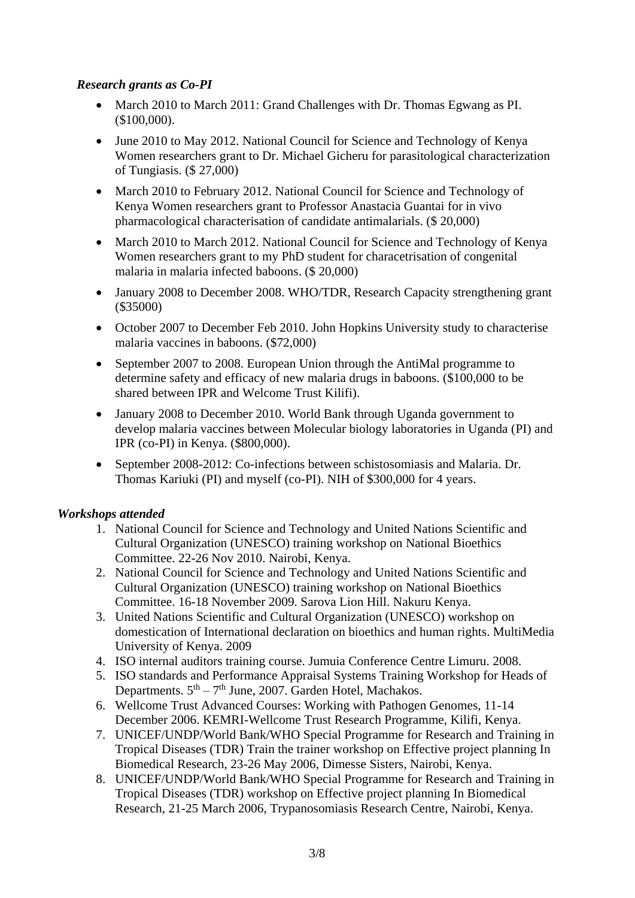# *Research grants as Co-PI*

- March 2010 to March 2011: Grand Challenges with Dr. Thomas Egwang as PI. (\$100,000).
- June 2010 to May 2012. National Council for Science and Technology of Kenya Women researchers grant to Dr. Michael Gicheru for parasitological characterization of Tungiasis. (\$ 27,000)
- March 2010 to February 2012. National Council for Science and Technology of Kenya Women researchers grant to Professor Anastacia Guantai for in vivo pharmacological characterisation of candidate antimalarials. (\$ 20,000)
- March 2010 to March 2012. National Council for Science and Technology of Kenya Women researchers grant to my PhD student for characetrisation of congenital malaria in malaria infected baboons. (\$ 20,000)
- January 2008 to December 2008. WHO/TDR, Research Capacity strengthening grant (\$35000)
- October 2007 to December Feb 2010. John Hopkins University study to characterise malaria vaccines in baboons. (\$72,000)
- September 2007 to 2008. European Union through the AntiMal programme to determine safety and efficacy of new malaria drugs in baboons. (\$100,000 to be shared between IPR and Welcome Trust Kilifi).
- January 2008 to December 2010. World Bank through Uganda government to develop malaria vaccines between Molecular biology laboratories in Uganda (PI) and IPR (co-PI) in Kenya. (\$800,000).
- September 2008-2012: Co-infections between schistosomiasis and Malaria. Dr. Thomas Kariuki (PI) and myself (co-PI). NIH of \$300,000 for 4 years.

# *Workshops attended*

- 1. National Council for Science and Technology and United Nations Scientific and Cultural Organization (UNESCO) training workshop on National Bioethics Committee. 22-26 Nov 2010. Nairobi, Kenya.
- 2. National Council for Science and Technology and United Nations Scientific and Cultural Organization (UNESCO) training workshop on National Bioethics Committee. 16-18 November 2009. Sarova Lion Hill. Nakuru Kenya.
- 3. United Nations Scientific and Cultural Organization (UNESCO) workshop on domestication of International declaration on bioethics and human rights. MultiMedia University of Kenya. 2009
- 4. ISO internal auditors training course. Jumuia Conference Centre Limuru. 2008.
- 5. ISO standards and Performance Appraisal Systems Training Workshop for Heads of Departments.  $5<sup>th</sup> - 7<sup>th</sup>$  June, 2007. Garden Hotel, Machakos.
- 6. Wellcome Trust Advanced Courses: Working with Pathogen Genomes, 11-14 December 2006. KEMRI-Wellcome Trust Research Programme, Kilifi, Kenya.
- 7. UNICEF/UNDP/World Bank/WHO Special Programme for Research and Training in Tropical Diseases (TDR) Train the trainer workshop on Effective project planning In Biomedical Research, 23-26 May 2006, Dimesse Sisters, Nairobi, Kenya.
- 8. UNICEF/UNDP/World Bank/WHO Special Programme for Research and Training in Tropical Diseases (TDR) workshop on Effective project planning In Biomedical Research, 21-25 March 2006, Trypanosomiasis Research Centre, Nairobi, Kenya.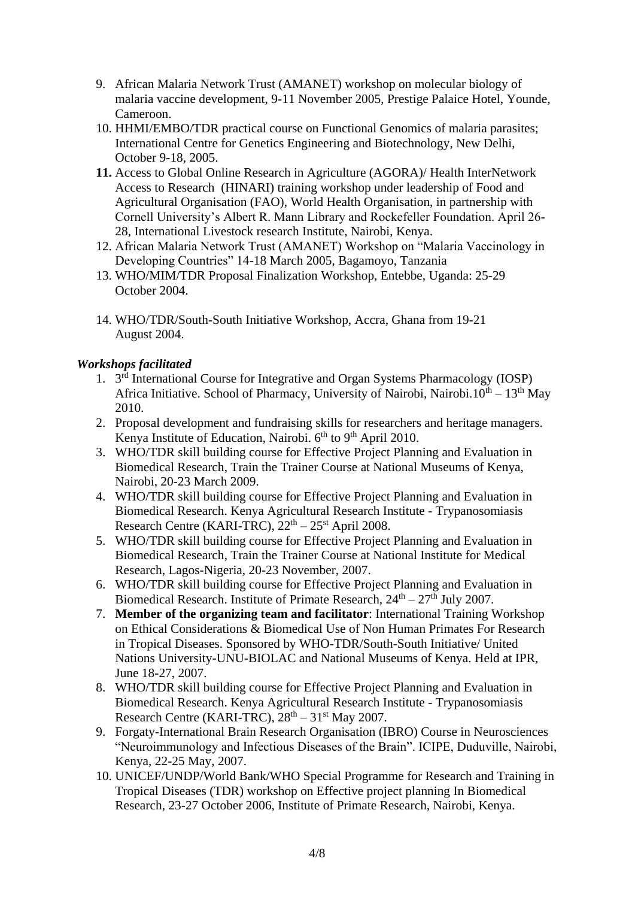- 9. African Malaria Network Trust (AMANET) workshop on molecular biology of malaria vaccine development, 9-11 November 2005, Prestige Palaice Hotel, Younde, Cameroon.
- 10. HHMI/EMBO/TDR practical course on Functional Genomics of malaria parasites; International Centre for Genetics Engineering and Biotechnology, New Delhi, October 9-18, 2005.
- **11.** Access to Global Online Research in Agriculture (AGORA)/ Health InterNetwork Access to Research (HINARI) training workshop under leadership of Food and Agricultural Organisation (FAO), World Health Organisation, in partnership with Cornell University's Albert R. Mann Library and Rockefeller Foundation. April 26- 28, International Livestock research Institute, Nairobi, Kenya.
- 12. African Malaria Network Trust (AMANET) Workshop on "Malaria Vaccinology in Developing Countries" 14-18 March 2005, Bagamoyo, Tanzania
- 13. WHO/MIM/TDR Proposal Finalization Workshop, Entebbe, Uganda: 25-29 October 2004.
- 14. WHO/TDR/South-South Initiative Workshop, Accra, Ghana from 19-21 August 2004.

# *Workshops facilitated*

- 1. 3 rd International Course for Integrative and Organ Systems Pharmacology (IOSP) Africa Initiative. School of Pharmacy, University of Nairobi, Nairobi. $10^{th} - 13^{th}$  May 2010.
- 2. Proposal development and fundraising skills for researchers and heritage managers. Kenya Institute of Education, Nairobi.  $6<sup>th</sup>$  to  $9<sup>th</sup>$  April 2010.
- 3. WHO/TDR skill building course for Effective Project Planning and Evaluation in Biomedical Research, Train the Trainer Course at National Museums of Kenya, Nairobi, 20-23 March 2009.
- 4. WHO/TDR skill building course for Effective Project Planning and Evaluation in Biomedical Research. Kenya Agricultural Research Institute - Trypanosomiasis Research Centre (KARI-TRC),  $22<sup>th</sup> - 25<sup>st</sup>$  April 2008.
- 5. WHO/TDR skill building course for Effective Project Planning and Evaluation in Biomedical Research, Train the Trainer Course at National Institute for Medical Research, Lagos-Nigeria, 20-23 November, 2007.
- 6. WHO/TDR skill building course for Effective Project Planning and Evaluation in Biomedical Research. Institute of Primate Research,  $24<sup>th</sup> - 27<sup>th</sup>$  July 2007.
- 7. **Member of the organizing team and facilitator**: International Training Workshop on Ethical Considerations & Biomedical Use of Non Human Primates For Research in Tropical Diseases. Sponsored by WHO-TDR/South-South Initiative/ United Nations University-UNU-BIOLAC and National Museums of Kenya. Held at IPR, June 18-27, 2007.
- 8. WHO/TDR skill building course for Effective Project Planning and Evaluation in Biomedical Research. Kenya Agricultural Research Institute - Trypanosomiasis Research Centre (KARI-TRC),  $28<sup>th</sup> - 31<sup>st</sup>$  May 2007.
- 9. Forgaty-International Brain Research Organisation (IBRO) Course in Neurosciences "Neuroimmunology and Infectious Diseases of the Brain". ICIPE, Duduville, Nairobi, Kenya, 22-25 May, 2007.
- 10. UNICEF/UNDP/World Bank/WHO Special Programme for Research and Training in Tropical Diseases (TDR) workshop on Effective project planning In Biomedical Research, 23-27 October 2006, Institute of Primate Research, Nairobi, Kenya.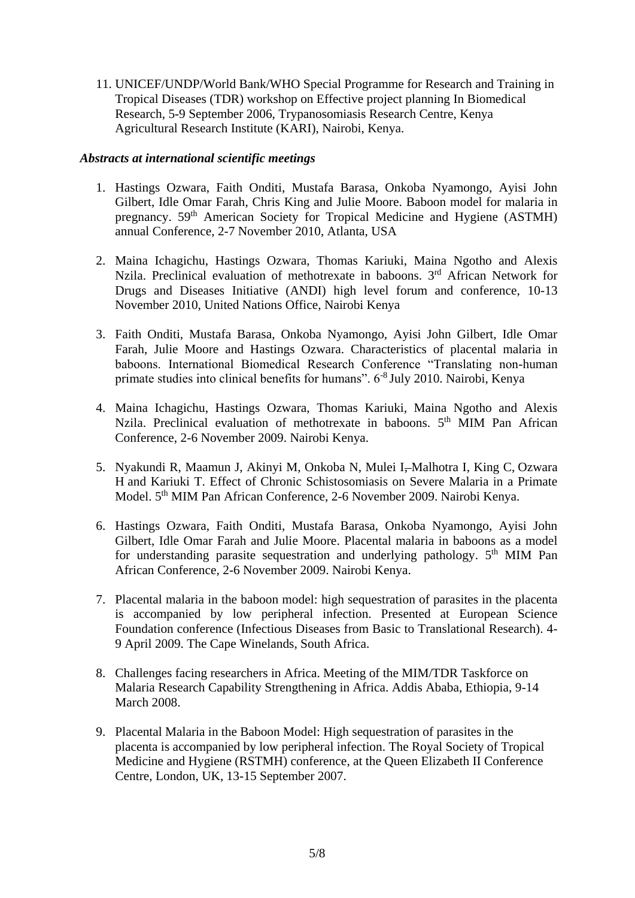11. UNICEF/UNDP/World Bank/WHO Special Programme for Research and Training in Tropical Diseases (TDR) workshop on Effective project planning In Biomedical Research, 5-9 September 2006, Trypanosomiasis Research Centre, Kenya Agricultural Research Institute (KARI), Nairobi, Kenya.

## *Abstracts at international scientific meetings*

- 1. Hastings Ozwara, Faith Onditi, Mustafa Barasa, Onkoba Nyamongo, Ayisi John Gilbert, Idle Omar Farah, Chris King and Julie Moore. Baboon model for malaria in pregnancy. 59th American Society for Tropical Medicine and Hygiene (ASTMH) annual Conference, 2-7 November 2010, Atlanta, USA
- 2. Maina Ichagichu, Hastings Ozwara, Thomas Kariuki, Maina Ngotho and Alexis Nzila. Preclinical evaluation of methotrexate in baboons. 3<sup>rd</sup> African Network for Drugs and Diseases Initiative (ANDI) high level forum and conference, 10-13 November 2010, United Nations Office, Nairobi Kenya
- 3. Faith Onditi, Mustafa Barasa, Onkoba Nyamongo, Ayisi John Gilbert, Idle Omar Farah, Julie Moore and Hastings Ozwara. Characteristics of placental malaria in baboons. International Biomedical Research Conference "Translating non-human primate studies into clinical benefits for humans". 6-8 July 2010. Nairobi, Kenya
- 4. Maina Ichagichu, Hastings Ozwara, Thomas Kariuki, Maina Ngotho and Alexis Nzila. Preclinical evaluation of methotrexate in baboons. 5<sup>th</sup> MIM Pan African Conference, 2-6 November 2009. Nairobi Kenya.
- 5. Nyakundi R, Maamun J, Akinyi M, Onkoba N, Mulei I, Malhotra I, King C, Ozwara H and Kariuki T. Effect of Chronic Schistosomiasis on Severe Malaria in a Primate Model. 5th MIM Pan African Conference, 2-6 November 2009. Nairobi Kenya.
- 6. Hastings Ozwara, Faith Onditi, Mustafa Barasa, Onkoba Nyamongo, Ayisi John Gilbert, Idle Omar Farah and Julie Moore. Placental malaria in baboons as a model for understanding parasite sequestration and underlying pathology.  $5<sup>th</sup>$  MIM Pan African Conference, 2-6 November 2009. Nairobi Kenya.
- 7. Placental malaria in the baboon model: high sequestration of parasites in the placenta is accompanied by low peripheral infection. Presented at European Science Foundation conference (Infectious Diseases from Basic to Translational Research). 4- 9 April 2009. The Cape Winelands, South Africa.
- 8. Challenges facing researchers in Africa. Meeting of the MIM/TDR Taskforce on Malaria Research Capability Strengthening in Africa. Addis Ababa, Ethiopia, 9-14 March 2008.
- 9. Placental Malaria in the Baboon Model: High sequestration of parasites in the placenta is accompanied by low peripheral infection. The Royal Society of Tropical Medicine and Hygiene (RSTMH) conference, at the Queen Elizabeth II Conference Centre, London, UK, 13-15 September 2007.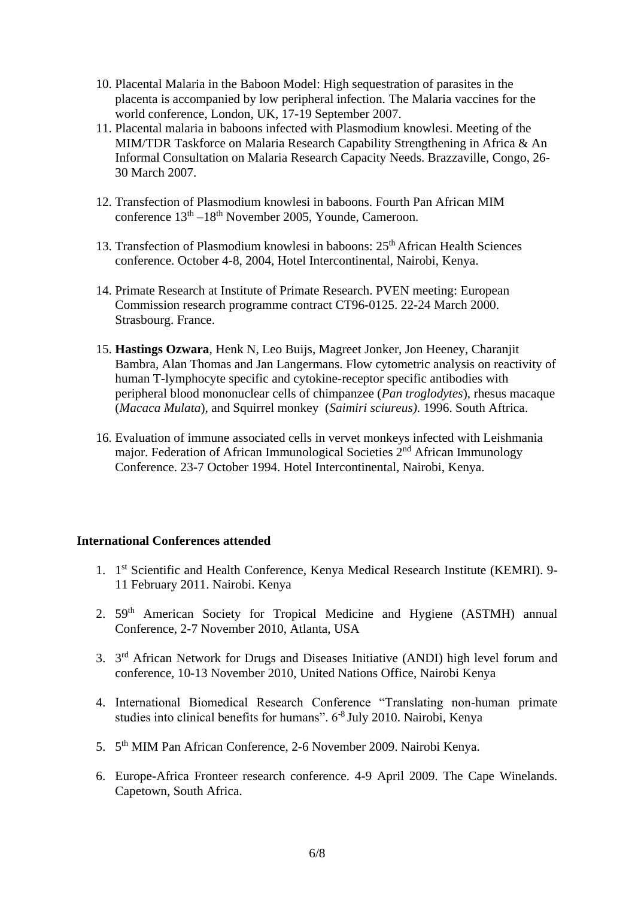- 10. Placental Malaria in the Baboon Model: High sequestration of parasites in the placenta is accompanied by low peripheral infection. The Malaria vaccines for the world conference, London, UK, 17-19 September 2007.
- 11. Placental malaria in baboons infected with Plasmodium knowlesi. Meeting of the MIM/TDR Taskforce on Malaria Research Capability Strengthening in Africa & An Informal Consultation on Malaria Research Capacity Needs. Brazzaville, Congo, 26- 30 March 2007.
- 12. Transfection of Plasmodium knowlesi in baboons. Fourth Pan African MIM conference  $13<sup>th</sup> - 18<sup>th</sup>$  November 2005, Younde, Cameroon.
- 13. Transfection of Plasmodium knowlesi in baboons: 25<sup>th</sup> African Health Sciences conference. October 4-8, 2004, Hotel Intercontinental, Nairobi, Kenya.
- 14. Primate Research at Institute of Primate Research. PVEN meeting: European Commission research programme contract CT96-0125. 22-24 March 2000. Strasbourg. France.
- 15. **Hastings Ozwara**, Henk N, Leo Buijs, Magreet Jonker, Jon Heeney, Charanjit Bambra, Alan Thomas and Jan Langermans. Flow cytometric analysis on reactivity of human T-lymphocyte specific and cytokine-receptor specific antibodies with peripheral blood mononuclear cells of chimpanzee (*Pan troglodytes*), rhesus macaque (*Macaca Mulata*), and Squirrel monkey (*Saimiri sciureus)*. 1996. South Aftrica.
- 16. Evaluation of immune associated cells in vervet monkeys infected with Leishmania major. Federation of African Immunological Societies 2<sup>nd</sup> African Immunology Conference. 23-7 October 1994. Hotel Intercontinental, Nairobi, Kenya.

## **International Conferences attended**

- 1. 1<sup>st</sup> Scientific and Health Conference, Kenya Medical Research Institute (KEMRI). 9-11 February 2011. Nairobi. Kenya
- 2. 59th American Society for Tropical Medicine and Hygiene (ASTMH) annual Conference, 2-7 November 2010, Atlanta, USA
- 3. 3<sup>rd</sup> African Network for Drugs and Diseases Initiative (ANDI) high level forum and conference, 10-13 November 2010, United Nations Office, Nairobi Kenya
- 4. International Biomedical Research Conference "Translating non-human primate studies into clinical benefits for humans". 6-8 July 2010. Nairobi, Kenya
- 5. 5<sup>th</sup> MIM Pan African Conference, 2-6 November 2009. Nairobi Kenya.
- 6. Europe-Africa Fronteer research conference. 4-9 April 2009. The Cape Winelands. Capetown, South Africa.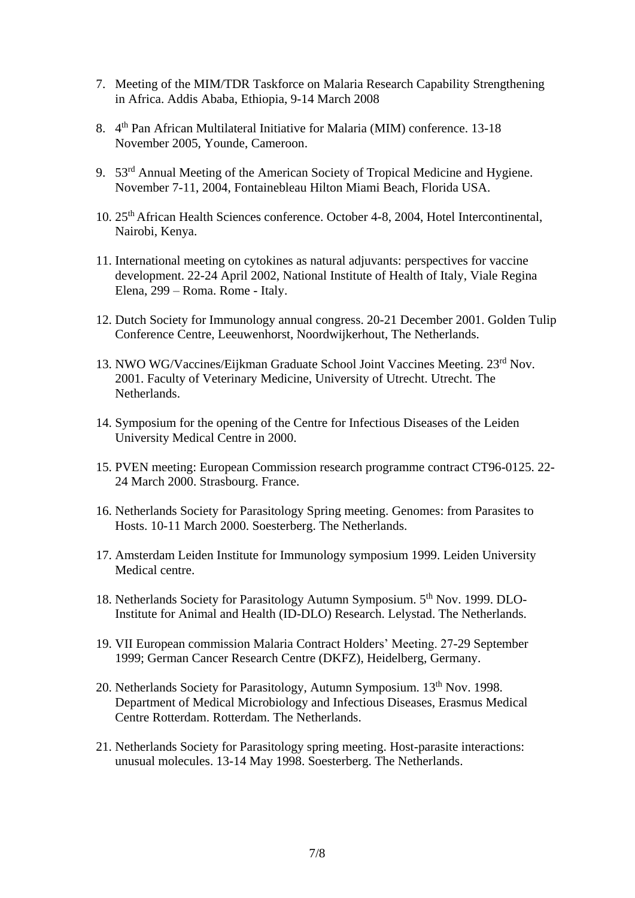- 7. Meeting of the MIM/TDR Taskforce on Malaria Research Capability Strengthening in Africa. Addis Ababa, Ethiopia, 9-14 March 2008
- 8. 4<sup>th</sup> Pan African Multilateral Initiative for Malaria (MIM) conference. 13-18 November 2005, Younde, Cameroon.
- 9. 53rd Annual Meeting of the American Society of Tropical Medicine and Hygiene. November 7-11, 2004, Fontainebleau Hilton Miami Beach, Florida USA.
- 10. 25th African Health Sciences conference. October 4-8, 2004, Hotel Intercontinental, Nairobi, Kenya.
- 11. International meeting on cytokines as natural adjuvants: perspectives for vaccine development. 22-24 April 2002, National Institute of Health of Italy, Viale Regina Elena, 299 – Roma. Rome - Italy.
- 12. Dutch Society for Immunology annual congress. 20-21 December 2001. Golden Tulip Conference Centre, Leeuwenhorst, Noordwijkerhout, The Netherlands.
- 13. NWO WG/Vaccines/Eijkman Graduate School Joint Vaccines Meeting. 23rd Nov. 2001. Faculty of Veterinary Medicine, University of Utrecht. Utrecht. The Netherlands.
- 14. Symposium for the opening of the Centre for Infectious Diseases of the Leiden University Medical Centre in 2000.
- 15. PVEN meeting: European Commission research programme contract CT96-0125. 22- 24 March 2000. Strasbourg. France.
- 16. Netherlands Society for Parasitology Spring meeting. Genomes: from Parasites to Hosts. 10-11 March 2000. Soesterberg. The Netherlands.
- 17. Amsterdam Leiden Institute for Immunology symposium 1999. Leiden University Medical centre.
- 18. Netherlands Society for Parasitology Autumn Symposium. 5<sup>th</sup> Nov. 1999. DLO-Institute for Animal and Health (ID-DLO) Research. Lelystad. The Netherlands.
- 19. VII European commission Malaria Contract Holders' Meeting. 27-29 September 1999; German Cancer Research Centre (DKFZ), Heidelberg, Germany.
- 20. Netherlands Society for Parasitology, Autumn Symposium. 13<sup>th</sup> Nov. 1998. Department of Medical Microbiology and Infectious Diseases, Erasmus Medical Centre Rotterdam. Rotterdam. The Netherlands.
- 21. Netherlands Society for Parasitology spring meeting. Host-parasite interactions: unusual molecules. 13-14 May 1998. Soesterberg. The Netherlands.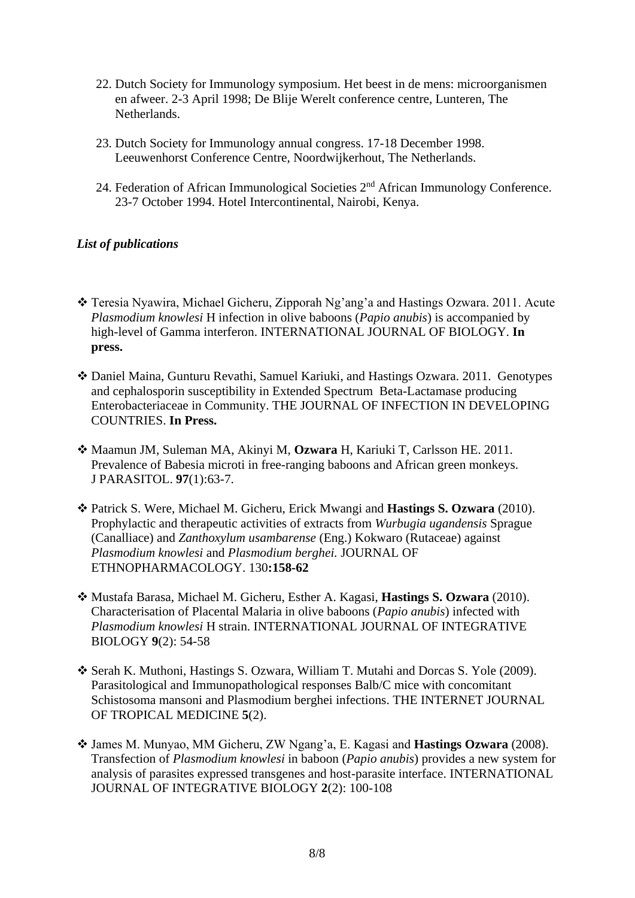- 22. Dutch Society for Immunology symposium. Het beest in de mens: microorganismen en afweer. 2-3 April 1998; De Blije Werelt conference centre, Lunteren, The Netherlands.
- 23. Dutch Society for Immunology annual congress. 17-18 December 1998. Leeuwenhorst Conference Centre, Noordwijkerhout, The Netherlands.
- 24. Federation of African Immunological Societies 2nd African Immunology Conference. 23-7 October 1994. Hotel Intercontinental, Nairobi, Kenya.

# *List of publications*

- Teresia Nyawira, Michael Gicheru, Zipporah Ng'ang'a and Hastings Ozwara. 2011. Acute *Plasmodium knowlesi* H infection in olive baboons (*Papio anubis*) is accompanied by high-level of Gamma interferon. INTERNATIONAL JOURNAL OF BIOLOGY. **In press.**
- Daniel Maina, Gunturu Revathi, Samuel Kariuki, and Hastings Ozwara. 2011. Genotypes and cephalosporin susceptibility in Extended Spectrum Beta-Lactamase producing Enterobacteriaceae in Community. THE JOURNAL OF INFECTION IN DEVELOPING COUNTRIES. **In Press.**
- Maamun JM, Suleman MA, Akinyi M, **Ozwara** H, Kariuki T, Carlsson HE. 2011. [Prevalence of Babesia microti in free-ranging baboons and African green monkeys.](http://www.ncbi.nlm.nih.gov/pubmed/21348608) J PARASITOL. **97**(1):63-7.
- Patrick S. Were, Michael M. Gicheru, Erick Mwangi and **Hastings S. Ozwara** (2010). Prophylactic and therapeutic activities of extracts from *Wurbugia ugandensis* Sprague (Canalliace) and *Zanthoxylum usambarense* (Eng.) Kokwaro (Rutaceae) against *Plasmodium knowlesi* and *Plasmodium berghei.* JOURNAL OF ETHNOPHARMACOLOGY. 130**:158-62**
- Mustafa Barasa, Michael M. Gicheru, Esther A. Kagasi, **Hastings S. Ozwara** (2010). Characterisation of Placental Malaria in olive baboons (*Papio anubis*) infected with *Plasmodium knowlesi* H strain. INTERNATIONAL JOURNAL OF INTEGRATIVE BIOLOGY **9**(2): 54-58
- Serah K. Muthoni, Hastings S. Ozwara, William T. Mutahi and Dorcas S. Yole (2009). Parasitological and Immunopathological responses Balb/C mice with concomitant Schistosoma mansoni and Plasmodium berghei infections. THE INTERNET JOURNAL OF TROPICAL MEDICINE **5**(2).
- James M. Munyao, MM Gicheru, ZW Ngang'a, E. Kagasi and **Hastings Ozwara** (2008). Transfection of *Plasmodium knowlesi* in baboon (*Papio anubis*) provides a new system for analysis of parasites expressed transgenes and host-parasite interface. INTERNATIONAL JOURNAL OF INTEGRATIVE BIOLOGY **2**(2): 100-108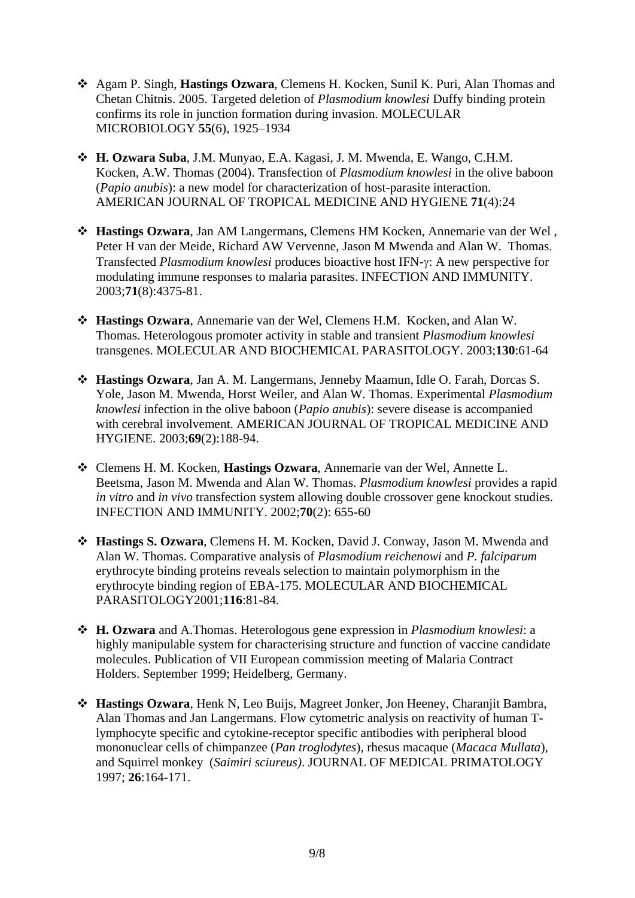- Agam P. Singh, **Hastings Ozwara**, Clemens H. Kocken, Sunil K. Puri, Alan Thomas and Chetan Chitnis. 2005. Targeted deletion of *Plasmodium knowlesi* Duffy binding protein confirms its role in junction formation during invasion. MOLECULAR MICROBIOLOGY **55**(6), 1925–1934
- **H. Ozwara Suba**, J.M. Munyao, E.A. Kagasi, J. M. Mwenda, E. Wango, C.H.M. Kocken, A.W. Thomas (2004). Transfection of *Plasmodium knowlesi* in the olive baboon (*Papio anubis*): a new model for characterization of host-parasite interaction. AMERICAN JOURNAL OF TROPICAL MEDICINE AND HYGIENE **71**(4):24
- **Hastings Ozwara**, Jan AM Langermans, Clemens HM Kocken, Annemarie van der Wel , Peter H van der Meide, Richard AW Vervenne, Jason M Mwenda and Alan W. Thomas. Transfected *Plasmodium knowlesi* produces bioactive host IFN- $\gamma$ : A new perspective for modulating immune responses to malaria parasites. INFECTION AND IMMUNITY. 2003;**71**(8):4375-81.
- **Hastings Ozwara**, Annemarie van der Wel, Clemens H.M. Kocken, and Alan W. Thomas. Heterologous promoter activity in stable and transient *Plasmodium knowlesi* transgenes. MOLECULAR AND BIOCHEMICAL PARASITOLOGY. 2003;**130**:61-64
- **Hastings Ozwara**, Jan A. M. Langermans, Jenneby Maamun, Idle O. Farah, Dorcas S. Yole, Jason M. Mwenda, Horst Weiler, and Alan W. Thomas. Experimental *Plasmodium knowlesi* infection in the olive baboon (*Papio anubis*): severe disease is accompanied with cerebral involvement. AMERICAN JOURNAL OF TROPICAL MEDICINE AND HYGIENE. 2003;**69**(2):188-94.
- Clemens H. M. Kocken, **Hastings Ozwara**, Annemarie van der Wel, Annette L. Beetsma, Jason M. Mwenda and Alan W. Thomas. *Plasmodium knowlesi* provides a rapid *in vitro* and *in vivo* transfection system allowing double crossover gene knockout studies. INFECTION AND IMMUNITY. 2002;**70**(2): 655-60
- **Hastings S. Ozwara**, Clemens H. M. Kocken, David J. Conway, Jason M. Mwenda and Alan W. Thomas. Comparative analysis of *Plasmodium reichenowi* and *P. falciparum* erythrocyte binding proteins reveals selection to maintain polymorphism in the erythrocyte binding region of EBA-175. MOLECULAR AND BIOCHEMICAL PARASITOLOGY2001;**116**:81-84.
- **H. Ozwara** and A.Thomas. Heterologous gene expression in *Plasmodium knowlesi*: a highly manipulable system for characterising structure and function of vaccine candidate molecules. Publication of VII European commission meeting of Malaria Contract Holders. September 1999; Heidelberg, Germany.
- **Hastings Ozwara**, Henk N, Leo Buijs, Magreet Jonker, Jon Heeney, Charanjit Bambra, Alan Thomas and Jan Langermans. Flow cytometric analysis on reactivity of human Tlymphocyte specific and cytokine-receptor specific antibodies with peripheral blood mononuclear cells of chimpanzee (*Pan troglodytes*), rhesus macaque (*Macaca Mullata*), and Squirrel monkey (*Saimiri sciureus)*. JOURNAL OF MEDICAL PRIMATOLOGY 1997; **26**:164-171.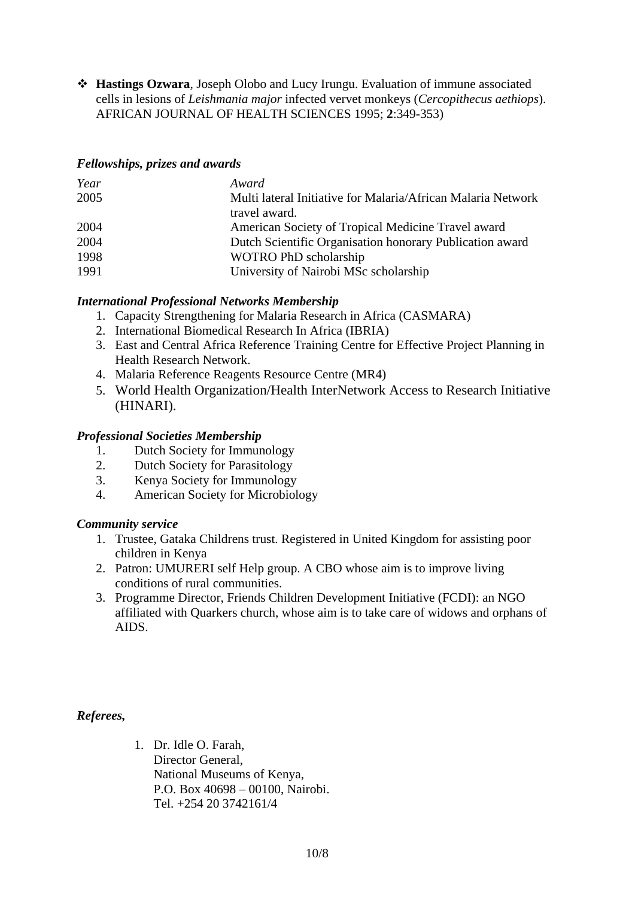**Hastings Ozwara**, Joseph Olobo and Lucy Irungu. Evaluation of immune associated cells in lesions of *Leishmania major* infected vervet monkeys (*Cercopithecus aethiops*). AFRICAN JOURNAL OF HEALTH SCIENCES 1995; **2**:349-353)

## *Fellowships, prizes and awards*

| Year | Award                                                        |
|------|--------------------------------------------------------------|
| 2005 | Multi lateral Initiative for Malaria/African Malaria Network |
|      | travel award.                                                |
| 2004 | American Society of Tropical Medicine Travel award           |
| 2004 | Dutch Scientific Organisation honorary Publication award     |
| 1998 | WOTRO PhD scholarship                                        |
| 1991 | University of Nairobi MSc scholarship                        |

# *International Professional Networks Membership*

- 1. Capacity Strengthening for Malaria Research in Africa (CASMARA)
- 2. International Biomedical Research In Africa (IBRIA)
- 3. East and Central Africa Reference Training Centre for Effective Project Planning in Health Research Network.
- 4. Malaria Reference Reagents Resource Centre (MR4)
- 5. World Health Organization/Health InterNetwork Access to Research Initiative (HINARI).

## *Professional Societies Membership*

- 1. Dutch Society for Immunology
- 2. Dutch Society for Parasitology
- 3. Kenya Society for Immunology
- 4. American Society for Microbiology

## *Community service*

- 1. Trustee, Gataka Childrens trust. Registered in United Kingdom for assisting poor children in Kenya
- 2. Patron: UMURERI self Help group. A CBO whose aim is to improve living conditions of rural communities.
- 3. Programme Director, Friends Children Development Initiative (FCDI): an NGO affiliated with Quarkers church, whose aim is to take care of widows and orphans of AIDS.

*Referees,*

1. Dr. Idle O. Farah, Director General, National Museums of Kenya, P.O. Box 40698 – 00100, Nairobi. Tel. +254 20 3742161/4